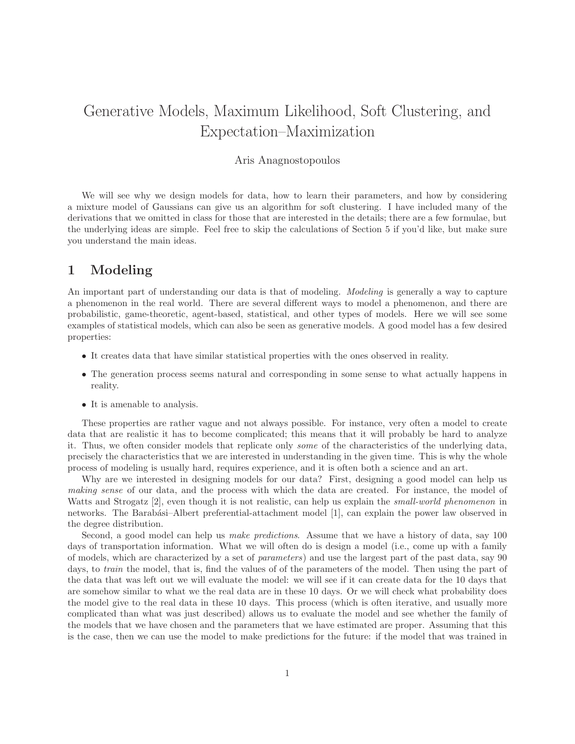# Generative Models, Maximum Likelihood, Soft Clustering, and Expectation–Maximization

#### Aris Anagnostopoulos

We will see why we design models for data, how to learn their parameters, and how by considering a mixture model of Gaussians can give us an algorithm for soft clustering. I have included many of the derivations that we omitted in class for those that are interested in the details; there are a few formulae, but the underlying ideas are simple. Feel free to skip the calculations of Section 5 if you'd like, but make sure you understand the main ideas.

### 1 Modeling

An important part of understanding our data is that of modeling. *Modeling* is generally a way to capture a phenomenon in the real world. There are several different ways to model a phenomenon, and there are probabilistic, game-theoretic, agent-based, statistical, and other types of models. Here we will see some examples of statistical models, which can also be seen as generative models. A good model has a few desired properties:

- It creates data that have similar statistical properties with the ones observed in reality.
- The generation process seems natural and corresponding in some sense to what actually happens in reality.
- It is amenable to analysis.

These properties are rather vague and not always possible. For instance, very often a model to create data that are realistic it has to become complicated; this means that it will probably be hard to analyze it. Thus, we often consider models that replicate only some of the characteristics of the underlying data, precisely the characteristics that we are interested in understanding in the given time. This is why the whole process of modeling is usually hard, requires experience, and it is often both a science and an art.

Why are we interested in designing models for our data? First, designing a good model can help us making sense of our data, and the process with which the data are created. For instance, the model of Watts and Strogatz [2], even though it is not realistic, can help us explain the *small-world phenomenon* in networks. The Barabási–Albert preferential-attachment model [1], can explain the power law observed in the degree distribution.

Second, a good model can help us make predictions. Assume that we have a history of data, say 100 days of transportation information. What we will often do is design a model (i.e., come up with a family of models, which are characterized by a set of parameters) and use the largest part of the past data, say 90 days, to *train* the model, that is, find the values of of the parameters of the model. Then using the part of the data that was left out we will evaluate the model: we will see if it can create data for the 10 days that are somehow similar to what we the real data are in these 10 days. Or we will check what probability does the model give to the real data in these 10 days. This process (which is often iterative, and usually more complicated than what was just described) allows us to evaluate the model and see whether the family of the models that we have chosen and the parameters that we have estimated are proper. Assuming that this is the case, then we can use the model to make predictions for the future: if the model that was trained in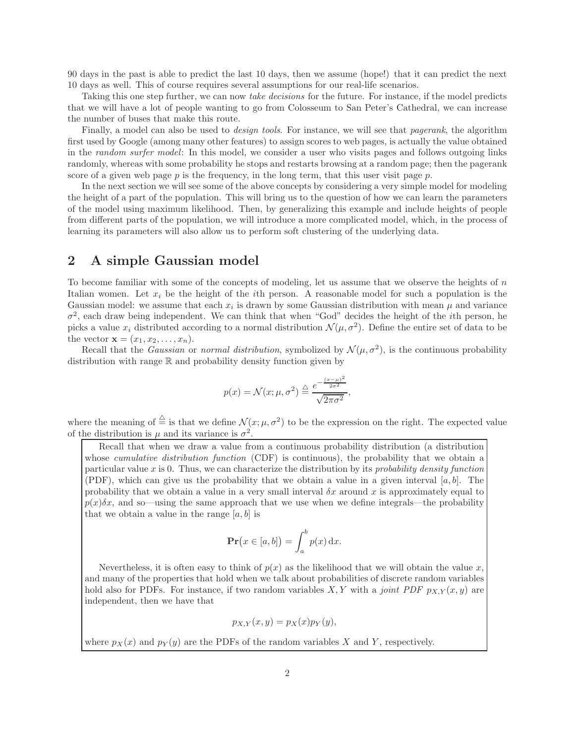90 days in the past is able to predict the last 10 days, then we assume (hope!) that it can predict the next 10 days as well. This of course requires several assumptions for our real-life scenarios.

Taking this one step further, we can now take decisions for the future. For instance, if the model predicts that we will have a lot of people wanting to go from Colosseum to San Peter's Cathedral, we can increase the number of buses that make this route.

Finally, a model can also be used to *design tools*. For instance, we will see that *pagerank*, the algorithm first used by Google (among many other features) to assign scores to web pages, is actually the value obtained in the random surfer model: In this model, we consider a user who visits pages and follows outgoing links randomly, whereas with some probability he stops and restarts browsing at a random page; then the pagerank score of a given web page  $p$  is the frequency, in the long term, that this user visit page  $p$ .

In the next section we will see some of the above concepts by considering a very simple model for modeling the height of a part of the population. This will bring us to the question of how we can learn the parameters of the model using maximum likelihood. Then, by generalizing this example and include heights of people from different parts of the population, we will introduce a more complicated model, which, in the process of learning its parameters will also allow us to perform soft clustering of the underlying data.

#### 2 A simple Gaussian model

To become familiar with some of the concepts of modeling, let us assume that we observe the heights of  $n$ Italian women. Let  $x_i$  be the height of the *i*th person. A reasonable model for such a population is the Gaussian model: we assume that each  $x_i$  is drawn by some Gaussian distribution with mean  $\mu$  and variance  $\sigma^2$ , each draw being independent. We can think that when "God" decides the height of the *i*th person, he picks a value  $x_i$  distributed according to a normal distribution  $\mathcal{N}(\mu, \sigma^2)$ . Define the entire set of data to be the vector  $\mathbf{x} = (x_1, x_2, \dots, x_n)$ .

Recall that the *Gaussian* or normal distribution, symbolized by  $\mathcal{N}(\mu, \sigma^2)$ , is the continuous probability distribution with range R and probability density function given by

$$
p(x) = \mathcal{N}(x; \mu, \sigma^2) \stackrel{\triangle}{=} \frac{e^{-\frac{(x-\mu)^2}{2\sigma^2}}}{\sqrt{2\pi\sigma^2}},
$$

where the meaning of  $\stackrel{\triangle}{=}$  is that we define  $\mathcal{N}(x;\mu,\sigma^2)$  to be the expression on the right. The expected value of the distribution is  $\mu$  and its variance is  $\sigma^2$ .

Recall that when we draw a value from a continuous probability distribution (a distribution whose *cumulative distribution function* (CDF) is continuous), the probability that we obtain a particular value  $x$  is 0. Thus, we can characterize the distribution by its *probability density function* (PDF), which can give us the probability that we obtain a value in a given interval  $[a, b]$ . The probability that we obtain a value in a very small interval  $\delta x$  around x is approximately equal to  $p(x)\delta x$ , and so—using the same approach that we use when we define integrals—the probability that we obtain a value in the range  $[a, b]$  is

$$
\mathbf{Pr}(x \in [a, b]) = \int_a^b p(x) \, dx.
$$

Nevertheless, it is often easy to think of  $p(x)$  as the likelihood that we will obtain the value x, and many of the properties that hold when we talk about probabilities of discrete random variables hold also for PDFs. For instance, if two random variables X, Y with a joint PDF  $p_{X,Y}(x, y)$  are independent, then we have that

$$
p_{X,Y}(x,y) = p_X(x)p_Y(y),
$$

where  $p_X(x)$  and  $p_Y(y)$  are the PDFs of the random variables X and Y, respectively.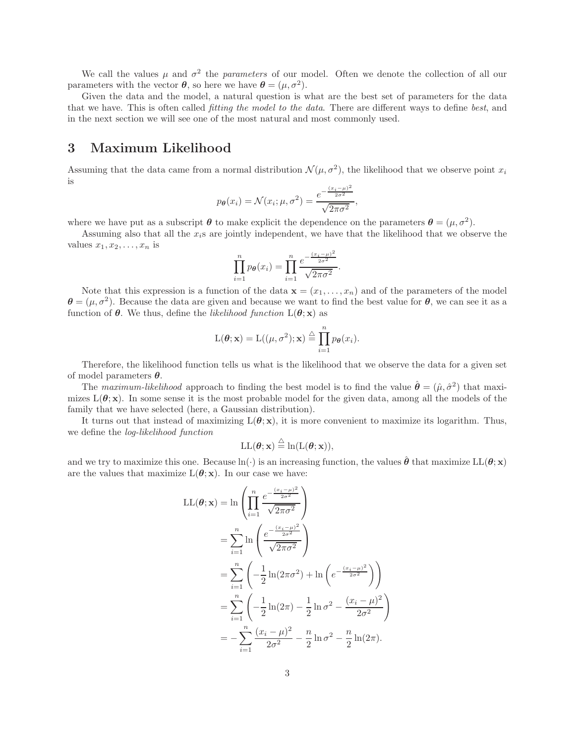We call the values  $\mu$  and  $\sigma^2$  the parameters of our model. Often we denote the collection of all our parameters with the vector  $\theta$ , so here we have  $\theta = (\mu, \sigma^2)$ .

Given the data and the model, a natural question is what are the best set of parameters for the data that we have. This is often called *fitting the model to the data*. There are different ways to define best, and in the next section we will see one of the most natural and most commonly used.

### 3 Maximum Likelihood

Assuming that the data came from a normal distribution  $\mathcal{N}(\mu, \sigma^2)$ , the likelihood that we observe point  $x_i$ is

$$
p_{\theta}(x_i) = \mathcal{N}(x_i; \mu, \sigma^2) = \frac{e^{-\frac{(x_i - \mu)^2}{2\sigma^2}}}{\sqrt{2\pi\sigma^2}},
$$

where we have put as a subscript  $\theta$  to make explicit the dependence on the parameters  $\theta = (\mu, \sigma^2)$ .

Assuming also that all the  $x_i$ s are jointly independent, we have that the likelihood that we observe the values  $x_1, x_2, \ldots, x_n$  is

$$
\prod_{i=1}^{n} p_{\theta}(x_i) = \prod_{i=1}^{n} \frac{e^{-\frac{(x_i - \mu)^2}{2\sigma^2}}}{\sqrt{2\pi\sigma^2}}.
$$

Note that this expression is a function of the data  $\mathbf{x} = (x_1, \ldots, x_n)$  and of the parameters of the model  $\theta = (\mu, \sigma^2)$ . Because the data are given and because we want to find the best value for  $\theta$ , we can see it as a function of  $\theta$ . We thus, define the *likelihood function*  $L(\theta; \mathbf{x})$  as

$$
L(\boldsymbol{\theta}; \mathbf{x}) = L((\mu, \sigma^2); \mathbf{x}) \stackrel{\triangle}{=} \prod_{i=1}^n p_{\boldsymbol{\theta}}(x_i).
$$

Therefore, the likelihood function tells us what is the likelihood that we observe the data for a given set of model parameters  $\theta$ .

The maximum-likelihood approach to finding the best model is to find the value  $\hat{\theta} = (\hat{\mu}, \hat{\sigma}^2)$  that maximizes  $L(\theta; x)$ . In some sense it is the most probable model for the given data, among all the models of the family that we have selected (here, a Gaussian distribution).

It turns out that instead of maximizing  $L(\theta; x)$ , it is more convenient to maximize its logarithm. Thus, we define the log-likelihood function

$$
LL(\boldsymbol{\theta}; \mathbf{x}) \stackrel{\triangle}{=} \ln(L(\boldsymbol{\theta}; \mathbf{x})),
$$

and we try to maximize this one. Because  $\ln(\cdot)$  is an increasing function, the values  $\hat{\theta}$  that maximize  $LL(\theta; x)$ are the values that maximize  $L(\theta; x)$ . In our case we have:

$$
LL(\theta; \mathbf{x}) = \ln \left( \prod_{i=1}^{n} \frac{e^{-\frac{(x_i - \mu)^2}{2\sigma^2}}}{\sqrt{2\pi\sigma^2}} \right)
$$
  
= 
$$
\sum_{i=1}^{n} \ln \left( \frac{e^{-\frac{(x_i - \mu)^2}{2\sigma^2}}}{\sqrt{2\pi\sigma^2}} \right)
$$
  
= 
$$
\sum_{i=1}^{n} \left( -\frac{1}{2} \ln(2\pi\sigma^2) + \ln \left( e^{-\frac{(x_i - \mu)^2}{2\sigma^2}} \right) \right)
$$
  
= 
$$
\sum_{i=1}^{n} \left( -\frac{1}{2} \ln(2\pi) - \frac{1}{2} \ln \sigma^2 - \frac{(x_i - \mu)^2}{2\sigma^2} \right)
$$
  
= 
$$
-\sum_{i=1}^{n} \frac{(x_i - \mu)^2}{2\sigma^2} - \frac{n}{2} \ln \sigma^2 - \frac{n}{2} \ln(2\pi).
$$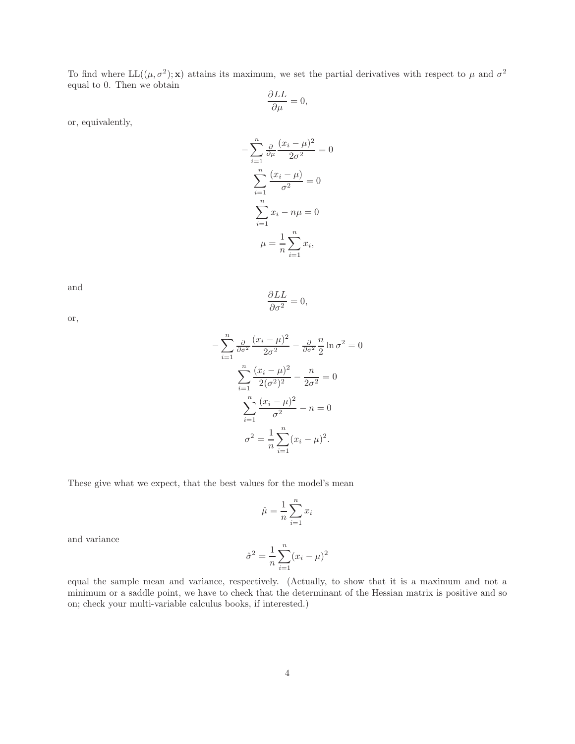To find where  $LL((\mu, \sigma^2); \mathbf{x})$  attains its maximum, we set the partial derivatives with respect to  $\mu$  and  $\sigma^2$ equal to 0. Then we obtain

$$
\frac{\partial LL}{\partial \mu} = 0,
$$

or, equivalently,

$$
-\sum_{i=1}^{n} \frac{\partial}{\partial \mu} \frac{(x_i - \mu)^2}{2\sigma^2} = 0
$$

$$
\sum_{i=1}^{n} \frac{(x_i - \mu)}{\sigma^2} = 0
$$

$$
\sum_{i=1}^{n} x_i - n\mu = 0
$$

$$
\mu = \frac{1}{n} \sum_{i=1}^{n} x_i,
$$

and

$$
\frac{\partial LL}{\partial \sigma^2} = 0,
$$

or,

$$
-\sum_{i=1}^{n} \frac{\partial}{\partial \sigma^2} \frac{(x_i - \mu)^2}{2\sigma^2} - \frac{\partial}{\partial \sigma^2} \frac{n}{2} \ln \sigma^2 = 0
$$

$$
\sum_{i=1}^{n} \frac{(x_i - \mu)^2}{2(\sigma^2)^2} - \frac{n}{2\sigma^2} = 0
$$

$$
\sum_{i=1}^{n} \frac{(x_i - \mu)^2}{\sigma^2} - n = 0
$$

$$
\sigma^2 = \frac{1}{n} \sum_{i=1}^{n} (x_i - \mu)^2.
$$

These give what we expect, that the best values for the model's mean

$$
\hat{\mu} = \frac{1}{n} \sum_{i=1}^{n} x_i
$$

and variance

$$
\hat{\sigma}^2 = \frac{1}{n} \sum_{i=1}^n (x_i - \mu)^2
$$

equal the sample mean and variance, respectively. (Actually, to show that it is a maximum and not a minimum or a saddle point, we have to check that the determinant of the Hessian matrix is positive and so on; check your multi-variable calculus books, if interested.)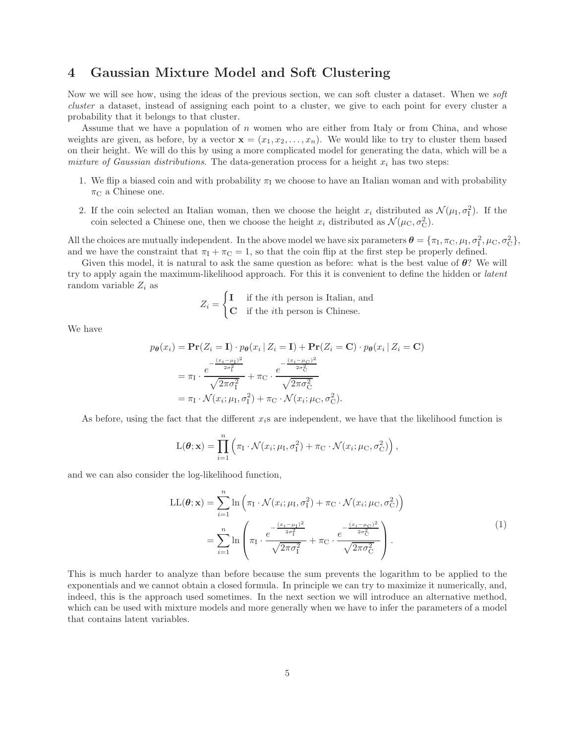### 4 Gaussian Mixture Model and Soft Clustering

Now we will see how, using the ideas of the previous section, we can soft cluster a dataset. When we soft cluster a dataset, instead of assigning each point to a cluster, we give to each point for every cluster a probability that it belongs to that cluster.

Assume that we have a population of  $n$  women who are either from Italy or from China, and whose weights are given, as before, by a vector  $\mathbf{x} = (x_1, x_2, \dots, x_n)$ . We would like to try to cluster them based on their height. We will do this by using a more complicated model for generating the data, which will be a mixture of Gaussian distributions. The data-generation process for a height  $x_i$  has two steps:

- 1. We flip a biased coin and with probability  $\pi_I$  we choose to have an Italian woman and with probability  $\pi_{\rm C}$  a Chinese one.
- 2. If the coin selected an Italian woman, then we choose the height  $x_i$  distributed as  $\mathcal{N}(\mu_I, \sigma_I^2)$ . If the coin selected a Chinese one, then we choose the height  $x_i$  distributed as  $\mathcal{N}(\mu_{\rm C}, \sigma_{\rm C}^2)$ .

All the choices are mutually independent. In the above model we have six parameters  $\boldsymbol{\theta} = \{\pi_I, \pi_C, \mu_I, \sigma_I^2, \mu_C, \sigma_C^2\}$ , and we have the constraint that  $\pi_I + \pi_C = 1$ , so that the coin flip at the first step be properly defined.

Given this model, it is natural to ask the same question as before: what is the best value of  $\theta$ ? We will try to apply again the maximum-likelihood approach. For this it is convenient to define the hidden or latent random variable  $Z_i$  as

$$
Z_i = \begin{cases} \mathbf{I} & \text{if the } i\text{th person is Italian, and} \\ \mathbf{C} & \text{if the } i\text{th person is Chinese.} \end{cases}
$$

We have

$$
p_{\theta}(x_i) = \mathbf{Pr}(Z_i = \mathbf{I}) \cdot p_{\theta}(x_i | Z_i = \mathbf{I}) + \mathbf{Pr}(Z_i = \mathbf{C}) \cdot p_{\theta}(x_i | Z_i = \mathbf{C})
$$

$$
= \pi_1 \cdot \frac{e^{-\frac{(x_i - \mu_1)^2}{2\sigma_1^2}}}{\sqrt{2\pi\sigma_1^2}} + \pi_{\mathbf{C}} \cdot \frac{e^{-\frac{(x_i - \mu_{\mathbf{C}})^2}{2\sigma_{\mathbf{C}}^2}}}{\sqrt{2\pi\sigma_{\mathbf{C}}^2}}
$$

$$
= \pi_1 \cdot \mathcal{N}(x_i; \mu_1, \sigma_1^2) + \pi_{\mathbf{C}} \cdot \mathcal{N}(x_i; \mu_{\mathbf{C}}, \sigma_{\mathbf{C}}^2).
$$

As before, using the fact that the different  $x_i$ s are independent, we have that the likelihood function is

$$
L(\boldsymbol{\theta}; \mathbf{x}) = \prod_{i=1}^{n} \left( \pi_{I} \cdot \mathcal{N}(x_{i}; \mu_{I}, \sigma_{I}^{2}) + \pi_{C} \cdot \mathcal{N}(x_{i}; \mu_{C}, \sigma_{C}^{2}) \right),
$$

and we can also consider the log-likelihood function,

$$
LL(\boldsymbol{\theta}; \mathbf{x}) = \sum_{i=1}^{n} \ln \left( \pi_{I} \cdot \mathcal{N}(x_{i}; \mu_{I}, \sigma_{I}^{2}) + \pi_{C} \cdot \mathcal{N}(x_{i}; \mu_{C}, \sigma_{C}^{2}) \right)
$$

$$
= \sum_{i=1}^{n} \ln \left( \pi_{I} \cdot \frac{e^{-\frac{(x_{i} - \mu_{I})^{2}}{2\sigma_{I}^{2}}} \sqrt{2\pi\sigma_{I}^{2}} + \pi_{C} \cdot \frac{e^{-\frac{(x_{i} - \mu_{C})^{2}}{2\sigma_{C}^{2}}}}{\sqrt{2\pi\sigma_{C}^{2}}} \right).
$$
(1)

This is much harder to analyze than before because the sum prevents the logarithm to be applied to the exponentials and we cannot obtain a closed formula. In principle we can try to maximize it numerically, and, indeed, this is the approach used sometimes. In the next section we will introduce an alternative method, which can be used with mixture models and more generally when we have to infer the parameters of a model that contains latent variables.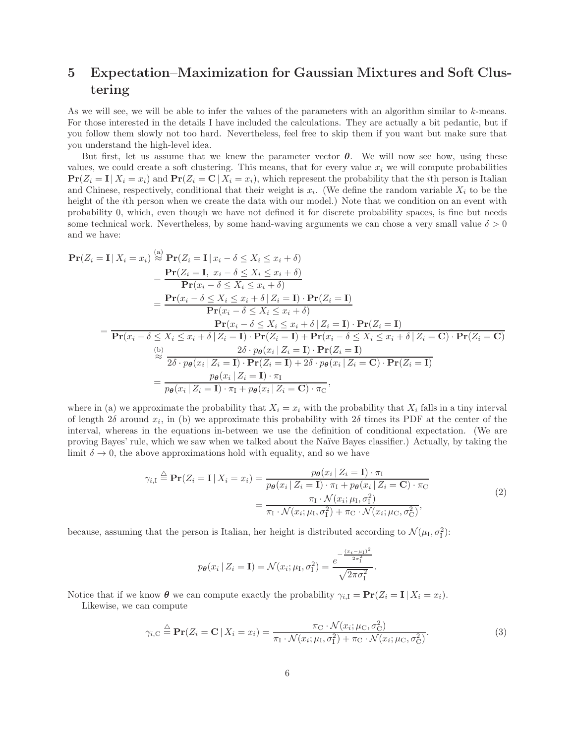## 5 Expectation–Maximization for Gaussian Mixtures and Soft Clustering

As we will see, we will be able to infer the values of the parameters with an algorithm similar to k-means. For those interested in the details I have included the calculations. They are actually a bit pedantic, but if you follow them slowly not too hard. Nevertheless, feel free to skip them if you want but make sure that you understand the high-level idea.

But first, let us assume that we knew the parameter vector  $\theta$ . We will now see how, using these values, we could create a soft clustering. This means, that for every value  $x_i$  we will compute probabilities  $\Pr(Z_i = I | X_i = x_i)$  and  $\Pr(Z_i = C | X_i = x_i)$ , which represent the probability that the *i*th person is Italian and Chinese, respectively, conditional that their weight is  $x_i$ . (We define the random variable  $X_i$  to be the height of the *i*th person when we create the data with our model.) Note that we condition on an event with probability 0, which, even though we have not defined it for discrete probability spaces, is fine but needs some technical work. Nevertheless, by some hand-waving arguments we can chose a very small value  $\delta > 0$ and we have:

$$
\begin{split}\n\mathbf{Pr}(Z_i = \mathbf{I} \mid X_i = x_i) &\stackrel{(a)}{\approx} \mathbf{Pr}(Z_i = \mathbf{I} \mid x_i - \delta \le X_i \le x_i + \delta) \\
&= \frac{\mathbf{Pr}(Z_i = \mathbf{I}, x_i - \delta \le X_i \le x_i + \delta)}{\mathbf{Pr}(x_i - \delta \le X_i \le x_i + \delta)} \\
&= \frac{\mathbf{Pr}(x_i - \delta \le X_i \le x_i + \delta \mid Z_i = \mathbf{I}) \cdot \mathbf{Pr}(Z_i = \mathbf{I})}{\mathbf{Pr}(x_i - \delta \le X_i \le x_i + \delta)} \\
&= \frac{\mathbf{Pr}(x_i - \delta \le X_i \le x_i + \delta \mid Z_i = \mathbf{I}) \cdot \mathbf{Pr}(Z_i = \mathbf{I})}{\mathbf{Pr}(x_i - \delta \le X_i \le x_i + \delta \mid Z_i = \mathbf{I}) \cdot \mathbf{Pr}(Z_i = \mathbf{I}) \cdot \mathbf{Pr}(Z_i = \mathbf{I})} \\
&\stackrel{(b)}{\approx} \frac{2\delta \cdot p_{\theta}(x_i \mid Z_i = \mathbf{I}) \cdot \mathbf{Pr}(Z_i = \mathbf{I})}{\mathbf{Pr}(Z_i = \mathbf{I}) \cdot \mathbf{Pr}(Z_i = \mathbf{I})} \\
&= \frac{p_{\theta}(x_i \mid Z_i = \mathbf{I}) \cdot \mathbf{Pr}(Z_i = \mathbf{I}) + 2\delta \cdot p_{\theta}(x_i \mid Z_i = \mathbf{C}) \cdot \mathbf{Pr}(Z_i = \mathbf{I})}{p_{\theta}(x_i \mid Z_i = \mathbf{I}) \cdot \pi_{\mathbf{I}} + p_{\theta}(x_i \mid Z_i = \mathbf{C}) \cdot \pi_{\mathbf{C}}},\n\end{split}
$$

where in (a) we approximate the probability that  $X_i = x_i$  with the probability that  $X_i$  falls in a tiny interval of length  $2\delta$  around  $x_i$ , in (b) we approximate this probability with  $2\delta$  times its PDF at the center of the interval, whereas in the equations in-between we use the definition of conditional expectation. (We are proving Bayes' rule, which we saw when we talked about the Na¨ıve Bayes classifier.) Actually, by taking the limit  $\delta \to 0$ , the above approximations hold with equality, and so we have

$$
\gamma_{i,\mathrm{I}} \stackrel{\triangle}{=} \mathbf{Pr}(Z_i = \mathbf{I} | X_i = x_i) = \frac{p_{\boldsymbol{\theta}}(x_i | Z_i = \mathbf{I}) \cdot \pi_{\mathrm{I}}}{p_{\boldsymbol{\theta}}(x_i | Z_i = \mathbf{I}) \cdot \pi_{\mathrm{I}} + p_{\boldsymbol{\theta}}(x_i | Z_i = \mathbf{C}) \cdot \pi_{\mathrm{C}}}
$$
\n
$$
= \frac{\pi_{\mathrm{I}} \cdot \mathcal{N}(x_i; \mu_{\mathrm{I}}, \sigma_1^2)}{\pi_{\mathrm{I}} \cdot \mathcal{N}(x_i; \mu_{\mathrm{I}}, \sigma_1^2) + \pi_{\mathrm{C}} \cdot \mathcal{N}(x_i; \mu_{\mathrm{C}}, \sigma_{\mathrm{C}}^2)},
$$
\n(2)

because, assuming that the person is Italian, her height is distributed according to  $\mathcal{N}(\mu_I, \sigma_I^2)$ :

$$
p_{\theta}(x_i | Z_i = \mathbf{I}) = \mathcal{N}(x_i; \mu_{\text{I}}, \sigma_{\text{I}}^2) = \frac{e^{-\frac{(x_i - \mu_{\text{I}})^2}{2\sigma_{\text{I}}^2}}}{\sqrt{2\pi\sigma_{\text{I}}^2}}.
$$

Notice that if we know  $\boldsymbol{\theta}$  we can compute exactly the probability  $\gamma_{i,1} = \Pr(Z_i = I | X_i = x_i)$ . Likewise, we can compute

$$
\gamma_{i,\mathrm{C}} \stackrel{\triangle}{=} \mathbf{Pr}(Z_i = \mathbf{C} \mid X_i = x_i) = \frac{\pi_{\mathrm{C}} \cdot \mathcal{N}(x_i; \mu_{\mathrm{C}}, \sigma_{\mathrm{C}}^2)}{\pi_{\mathrm{I}} \cdot \mathcal{N}(x_i; \mu_{\mathrm{I}}, \sigma_{\mathrm{I}}^2) + \pi_{\mathrm{C}} \cdot \mathcal{N}(x_i; \mu_{\mathrm{C}}, \sigma_{\mathrm{C}}^2)}.
$$
\n(3)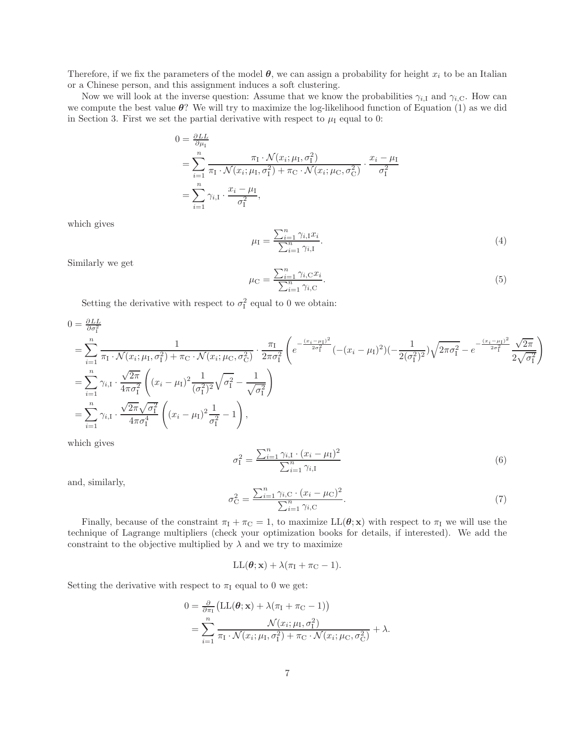Therefore, if we fix the parameters of the model  $\theta$ , we can assign a probability for height  $x_i$  to be an Italian or a Chinese person, and this assignment induces a soft clustering.

Now we will look at the inverse question: Assume that we know the probabilities  $\gamma_{i,1}$  and  $\gamma_{i,C}$ . How can we compute the best value  $\theta$ ? We will try to maximize the log-likelihood function of Equation (1) as we did in Section 3. First we set the partial derivative with respect to  $\mu_I$  equal to 0:

$$
0 = \frac{\partial LL}{\partial \mu_I}
$$
  
= 
$$
\sum_{i=1}^n \frac{\pi_I \cdot \mathcal{N}(x_i; \mu_I, \sigma_I^2)}{\pi_I \cdot \mathcal{N}(x_i; \mu_I, \sigma_I^2) + \pi_C \cdot \mathcal{N}(x_i; \mu_C, \sigma_C^2)} \cdot \frac{x_i - \mu_I}{\sigma_I^2}
$$
  
= 
$$
\sum_{i=1}^n \gamma_{i, I} \cdot \frac{x_i - \mu_I}{\sigma_I^2},
$$

which gives

$$
\mu_{\rm I} = \frac{\sum_{i=1}^{n} \gamma_{i,\rm I} x_i}{\sum_{i=1}^{n} \gamma_{i,\rm I}}.
$$
\n(4)

Similarly we get

$$
\mu_{\mathcal{C}} = \frac{\sum_{i=1}^{n} \gamma_{i,\mathcal{C}} x_i}{\sum_{i=1}^{n} \gamma_{i,\mathcal{C}}}. \tag{5}
$$

Setting the derivative with respect to  $\sigma_{\text{I}}^2$  equal to 0 we obtain:

$$
0 = \frac{\partial L}{\partial \sigma_{1}^{2}}
$$
\n
$$
= \sum_{i=1}^{n} \frac{1}{\pi_{I} \cdot \mathcal{N}(x_{i}; \mu_{I}, \sigma_{I}^{2}) + \pi_{C} \cdot \mathcal{N}(x_{i}; \mu_{C}, \sigma_{C}^{2})} \cdot \frac{\pi_{I}}{2\pi \sigma_{I}^{2}} \left( e^{-\frac{(x_{i} - \mu_{I})^{2}}{2\sigma_{I}^{2}}} (- (x_{i} - \mu_{I})^{2}) (-\frac{1}{2(\sigma_{I}^{2})^{2}}) \sqrt{2\pi \sigma_{I}^{2}} - e^{-\frac{(x_{i} - \mu_{I})^{2}}{2\sigma_{I}^{2}}} \frac{\sqrt{2\pi}}{2\sqrt{\sigma_{I}^{2}}} \right)
$$
\n
$$
= \sum_{i=1}^{n} \gamma_{i, I} \cdot \frac{\sqrt{2\pi}}{4\pi \sigma_{I}^{2}} \left( (x_{i} - \mu_{I})^{2} \frac{1}{(\sigma_{I}^{2})^{2}} \sqrt{\sigma_{I}^{2}} - \frac{1}{\sqrt{\sigma_{I}^{2}}} \right)
$$
\n
$$
= \sum_{i=1}^{n} \gamma_{i, I} \cdot \frac{\sqrt{2\pi} \sqrt{\sigma_{I}^{2}}}{4\pi \sigma_{I}^{4}} \left( (x_{i} - \mu_{I})^{2} \frac{1}{\sigma_{I}^{2}} - 1 \right),
$$

which gives

$$
\sigma_{\rm I}^2 = \frac{\sum_{i=1}^n \gamma_{i,\rm I} \cdot (x_i - \mu_{\rm I})^2}{\sum_{i=1}^n \gamma_{i,\rm I}} \tag{6}
$$

and, similarly,

$$
\sigma_{\rm C}^2 = \frac{\sum_{i=1}^n \gamma_{i,\rm C} \cdot (x_i - \mu_{\rm C})^2}{\sum_{i=1}^n \gamma_{i,\rm C}}.
$$
\n(7)

Finally, because of the constraint  $\pi_I + \pi_C = 1$ , to maximize  $LL(\theta; x)$  with respect to  $\pi_I$  we will use the technique of Lagrange multipliers (check your optimization books for details, if interested). We add the constraint to the objective multiplied by  $\lambda$  and we try to maximize

 $LL(\theta; x) + \lambda(\pi_I + \pi_C - 1).$ 

Setting the derivative with respect to  $\pi_I$  equal to 0 we get:

$$
0 = \frac{\partial}{\partial \pi_1} \left( \mathbf{LL}(\boldsymbol{\theta}; \mathbf{x}) + \lambda (\pi_1 + \pi_{\mathbf{C}} - 1) \right)
$$
  
= 
$$
\sum_{i=1}^n \frac{\mathcal{N}(x_i; \mu_{\mathbf{I}}, \sigma_{\mathbf{I}}^2)}{\pi_{\mathbf{I}} \cdot \mathcal{N}(x_i; \mu_{\mathbf{I}}, \sigma_{\mathbf{I}}^2) + \pi_{\mathbf{C}} \cdot \mathcal{N}(x_i; \mu_{\mathbf{C}}, \sigma_{\mathbf{C}}^2)} + \lambda.
$$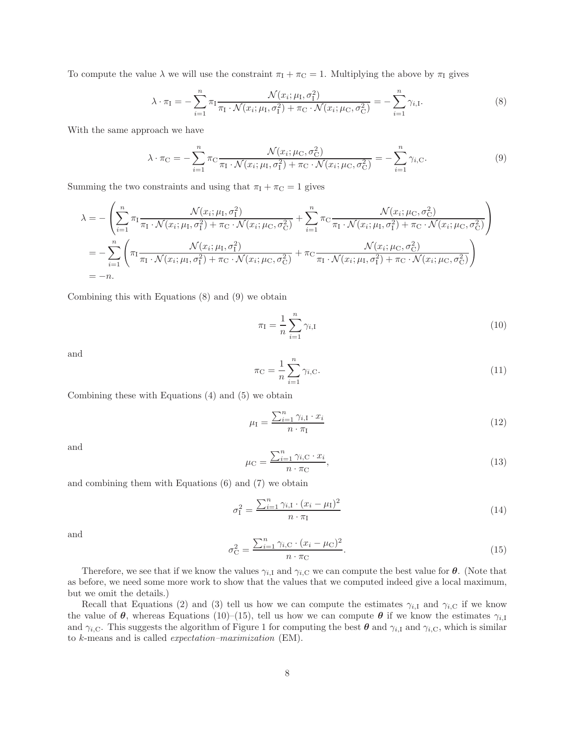To compute the value  $\lambda$  we will use the constraint  $\pi_1 + \pi_0 = 1$ . Multiplying the above by  $\pi_1$  gives

$$
\lambda \cdot \pi_{\mathcal{I}} = -\sum_{i=1}^{n} \pi_{\mathcal{I}} \frac{\mathcal{N}(x_i; \mu_{\mathcal{I}}, \sigma_{\mathcal{I}}^2)}{\pi_{\mathcal{I}} \cdot \mathcal{N}(x_i; \mu_{\mathcal{I}}, \sigma_{\mathcal{I}}^2) + \pi_{\mathcal{C}} \cdot \mathcal{N}(x_i; \mu_{\mathcal{C}}, \sigma_{\mathcal{C}}^2)} = -\sum_{i=1}^{n} \gamma_{i, \mathcal{I}}.
$$
\n(8)

With the same approach we have

$$
\lambda \cdot \pi_{\mathcal{C}} = -\sum_{i=1}^{n} \pi_{\mathcal{C}} \frac{\mathcal{N}(x_i; \mu_{\mathcal{C}}, \sigma_{\mathcal{C}}^2)}{\pi_{\mathcal{I}} \cdot \mathcal{N}(x_i; \mu_{\mathcal{I}}, \sigma_{\mathcal{I}}^2) + \pi_{\mathcal{C}} \cdot \mathcal{N}(x_i; \mu_{\mathcal{C}}, \sigma_{\mathcal{C}}^2)} = -\sum_{i=1}^{n} \gamma_{i,\mathcal{C}}.
$$
\n(9)

Summing the two constraints and using that  $\pi_I + \pi_C = 1$  gives

$$
\lambda = -\left(\sum_{i=1}^{n} \pi_1 \frac{\mathcal{N}(x_i; \mu_1, \sigma_1^2)}{\pi_1 \cdot \mathcal{N}(x_i; \mu_1, \sigma_1^2) + \pi_{\rm C} \cdot \mathcal{N}(x_i; \mu_{\rm C}, \sigma_{\rm C}^2)} + \sum_{i=1}^{n} \pi_{\rm C} \frac{\mathcal{N}(x_i; \mu_{\rm C}, \sigma_{\rm C}^2)}{\pi_1 \cdot \mathcal{N}(x_i; \mu_1, \sigma_1^2) + \pi_{\rm C} \cdot \mathcal{N}(x_i; \mu_{\rm C}, \sigma_{\rm C}^2)}\right)
$$
  
= 
$$
-\sum_{i=1}^{n} \left(\pi_1 \frac{\mathcal{N}(x_i; \mu_1, \sigma_1^2)}{\pi_1 \cdot \mathcal{N}(x_i; \mu_1, \sigma_1^2) + \pi_{\rm C} \cdot \mathcal{N}(x_i; \mu_{\rm C}, \sigma_{\rm C}^2)} + \pi_{\rm C} \frac{\mathcal{N}(x_i; \mu_{\rm C}, \sigma_{\rm C}^2)}{\pi_1 \cdot \mathcal{N}(x_i; \mu_1, \sigma_1^2) + \pi_{\rm C} \cdot \mathcal{N}(x_i; \mu_{\rm C}, \sigma_{\rm C}^2)}\right)
$$
  
= 
$$
-n.
$$

Combining this with Equations (8) and (9) we obtain

$$
\pi_{\rm I} = \frac{1}{n} \sum_{i=1}^{n} \gamma_{i,\rm I} \tag{10}
$$

and

$$
\pi_{\mathcal{C}} = \frac{1}{n} \sum_{i=1}^{n} \gamma_{i,\mathcal{C}}.
$$
\n(11)

Combining these with Equations (4) and (5) we obtain

$$
\mu_{\rm I} = \frac{\sum_{i=1}^{n} \gamma_{i,\rm I} \cdot x_i}{n \cdot \pi_{\rm I}} \tag{12}
$$

and

$$
\mu_{\rm C} = \frac{\sum_{i=1}^{n} \gamma_{i,\rm C} \cdot x_i}{n \cdot \pi_{\rm C}},\tag{13}
$$

and combining them with Equations (6) and (7) we obtain

$$
\sigma_{\rm I}^2 = \frac{\sum_{i=1}^n \gamma_{i,\rm I} \cdot (x_i - \mu_{\rm I})^2}{n \cdot \pi_{\rm I}} \tag{14}
$$

and

$$
\sigma_{\rm C}^2 = \frac{\sum_{i=1}^n \gamma_{i,\rm C} \cdot (x_i - \mu_{\rm C})^2}{n \cdot \pi_{\rm C}}.
$$
\n(15)

Therefore, we see that if we know the values  $\gamma_{i,1}$  and  $\gamma_{i,C}$  we can compute the best value for  $\theta$ . (Note that as before, we need some more work to show that the values that we computed indeed give a local maximum, but we omit the details.)

Recall that Equations (2) and (3) tell us how we can compute the estimates  $\gamma_{i,1}$  and  $\gamma_{i,C}$  if we know the value of  $\theta$ , whereas Equations (10)–(15), tell us how we can compute  $\theta$  if we know the estimates  $\gamma_{i,1}$ and  $\gamma_{i,C}$ . This suggests the algorithm of Figure 1 for computing the best  $\theta$  and  $\gamma_{i,I}$  and  $\gamma_{i,C}$ , which is similar to k-means and is called expectation–maximization (EM).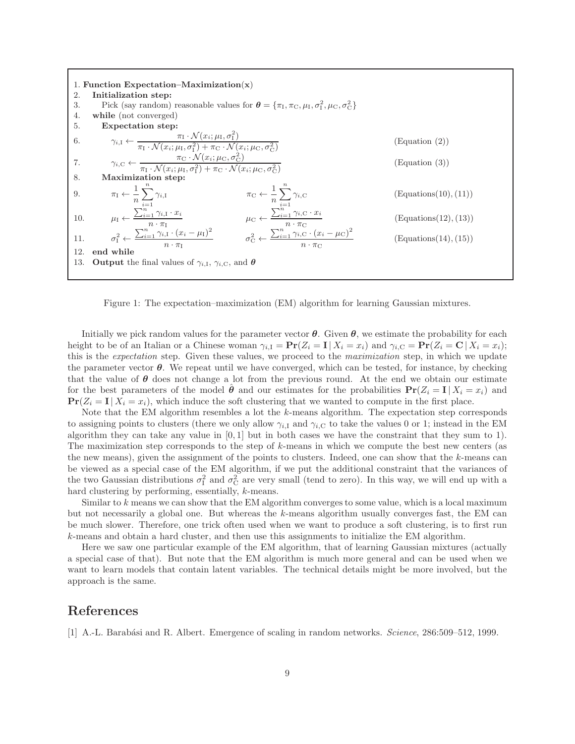

Figure 1: The expectation–maximization (EM) algorithm for learning Gaussian mixtures.

Initially we pick random values for the parameter vector  $\theta$ . Given  $\theta$ , we estimate the probability for each height to be of an Italian or a Chinese woman  $\gamma_{i,1} = \Pr(Z_i = I | X_i = x_i)$  and  $\gamma_{i,C} = \Pr(Z_i = C | X_i = x_i)$ ; this is the *expectation* step. Given these values, we proceed to the *maximization* step, in which we update the parameter vector  $\theta$ . We repeat until we have converged, which can be tested, for instance, by checking that the value of  $\theta$  does not change a lot from the previous round. At the end we obtain our estimate for the best parameters of the model  $\hat{\theta}$  and our estimates for the probabilities  $\Pr(Z_i = I | X_i = x_i)$  and  $\Pr(Z_i = I | X_i = x_i)$ , which induce the soft clustering that we wanted to compute in the first place.

Note that the EM algorithm resembles a lot the k-means algorithm. The expectation step corresponds to assigning points to clusters (there we only allow  $\gamma_{i,1}$  and  $\gamma_{i,C}$  to take the values 0 or 1; instead in the EM algorithm they can take any value in  $[0, 1]$  but in both cases we have the constraint that they sum to 1). The maximization step corresponds to the step of k-means in which we compute the best new centers (as the new means), given the assignment of the points to clusters. Indeed, one can show that the k-means can be viewed as a special case of the EM algorithm, if we put the additional constraint that the variances of the two Gaussian distributions  $\sigma_1^2$  and  $\sigma_C^2$  are very small (tend to zero). In this way, we will end up with a hard clustering by performing, essentially, k-means.

Similar to k means we can show that the EM algorithm converges to some value, which is a local maximum but not necessarily a global one. But whereas the k-means algorithm usually converges fast, the EM can be much slower. Therefore, one trick often used when we want to produce a soft clustering, is to first run k-means and obtain a hard cluster, and then use this assignments to initialize the EM algorithm.

Here we saw one particular example of the EM algorithm, that of learning Gaussian mixtures (actually a special case of that). But note that the EM algorithm is much more general and can be used when we want to learn models that contain latent variables. The technical details might be more involved, but the approach is the same.

#### References

[1] A.-L. Barabási and R. Albert. Emergence of scaling in random networks. *Science*, 286:509–512, 1999.